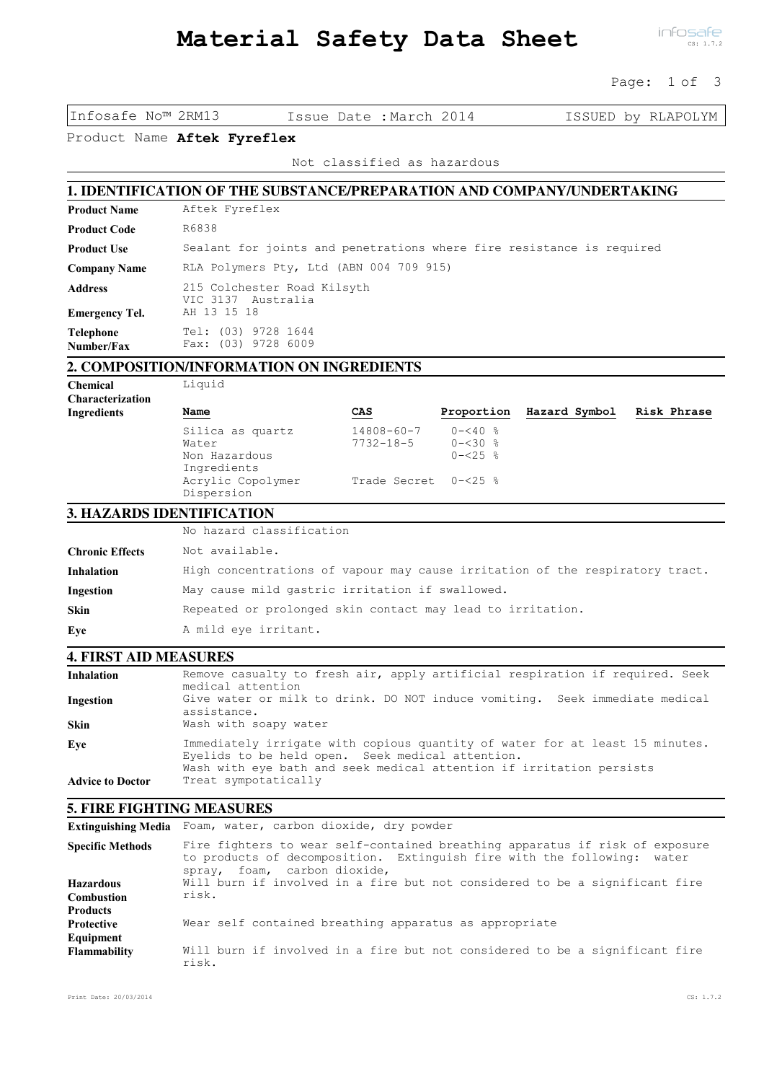Page: 1 of 3

Infosafe No™ 2RM13 Issue Date :March 2014 ISSUED by RLAPOLYM

Product Name Aftek Fyreflex

Not classified as hazardous

# **1. IDENTIFICATION OF THE SUBSTANCE/PREPARATION AND COMPANY/UNDERTAKING**

| <b>Product Name</b>            | Aftek Fyreflex                                                        |
|--------------------------------|-----------------------------------------------------------------------|
| <b>Product Code</b>            | R6838                                                                 |
| <b>Product Use</b>             | Sealant for joints and penetrations where fire resistance is required |
| <b>Company Name</b>            | RLA Polymers Pty, Ltd (ABN 004 709 915)                               |
| <b>Address</b>                 | 215 Colchester Road Kilsyth<br>VIC 3137 Australia                     |
| <b>Emergency Tel.</b>          | AH 13 15 18                                                           |
| <b>Telephone</b><br>Number/Fax | Tel: (03) 9728 1644<br>Fax: (03) 9728 6009                            |

# **2. COMPOSITION/INFORMATION ON INGREDIENTS**

Chemical Liquid Characterization

| Name                            | CAS                      | Proportion         | Hazard Symbol | Risk Phrase |
|---------------------------------|--------------------------|--------------------|---------------|-------------|
| Silica as quartz                | $14808 - 60 - 7$ 0-<40 % |                    |               |             |
| Water                           | 7732-18-5                | $0 - 30$ %         |               |             |
| Non Hazardous<br>Ingredients    |                          | $0 - 25$ $\approx$ |               |             |
| Acrylic Copolymer<br>Dispersion | Trade Secret 0-<25 %     |                    |               |             |

### **3. HAZARDS IDENTIFICATION**

|                        | No hazard classification                                                     |  |  |
|------------------------|------------------------------------------------------------------------------|--|--|
| <b>Chronic Effects</b> | Not available.                                                               |  |  |
| <b>Inhalation</b>      | High concentrations of vapour may cause irritation of the respiratory tract. |  |  |
| Ingestion              | May cause mild gastric irritation if swallowed.                              |  |  |
| <b>Skin</b>            | Repeated or prolonged skin contact may lead to irritation.                   |  |  |
| Eye                    | A mild eye irritant.                                                         |  |  |

### **4. FIRST AID MEASURES**

| <b>Inhalation</b>       | Remove casualty to fresh air, apply artificial respiration if required. Seek<br>medical attention                                                                                                        |
|-------------------------|----------------------------------------------------------------------------------------------------------------------------------------------------------------------------------------------------------|
| Ingestion               | Give water or milk to drink. DO NOT induce vomiting. Seek immediate medical<br>assistance.                                                                                                               |
| <b>Skin</b>             | Wash with soapy water                                                                                                                                                                                    |
| Eye                     | Immediately irrigate with copious quantity of water for at least 15 minutes.<br>Eyelids to be held open. Seek medical attention.<br>Wash with eye bath and seek medical attention if irritation persists |
| <b>Advice to Doctor</b> | Treat sympotatically                                                                                                                                                                                     |

#### **5. FIRE FIGHTING MEASURES**

Extinguishing Media Foam, water, carbon dioxide, dry powder

| <b>Specific Methods</b> | Fire fighters to wear self-contained breathing apparatus if risk of exposure<br>to products of decomposition. Extinguish fire with the following: water<br>spray, foam, carbon dioxide, |
|-------------------------|-----------------------------------------------------------------------------------------------------------------------------------------------------------------------------------------|
| <b>Hazardous</b>        | Will burn if involved in a fire but not considered to be a significant fire                                                                                                             |
| <b>Combustion</b>       | risk.                                                                                                                                                                                   |
| <b>Products</b>         |                                                                                                                                                                                         |
| <b>Protective</b>       | Wear self contained breathing apparatus as appropriate                                                                                                                                  |
| Equipment               |                                                                                                                                                                                         |
| <b>Flammability</b>     | Will burn if involved in a fire but not considered to be a significant fire<br>risk.                                                                                                    |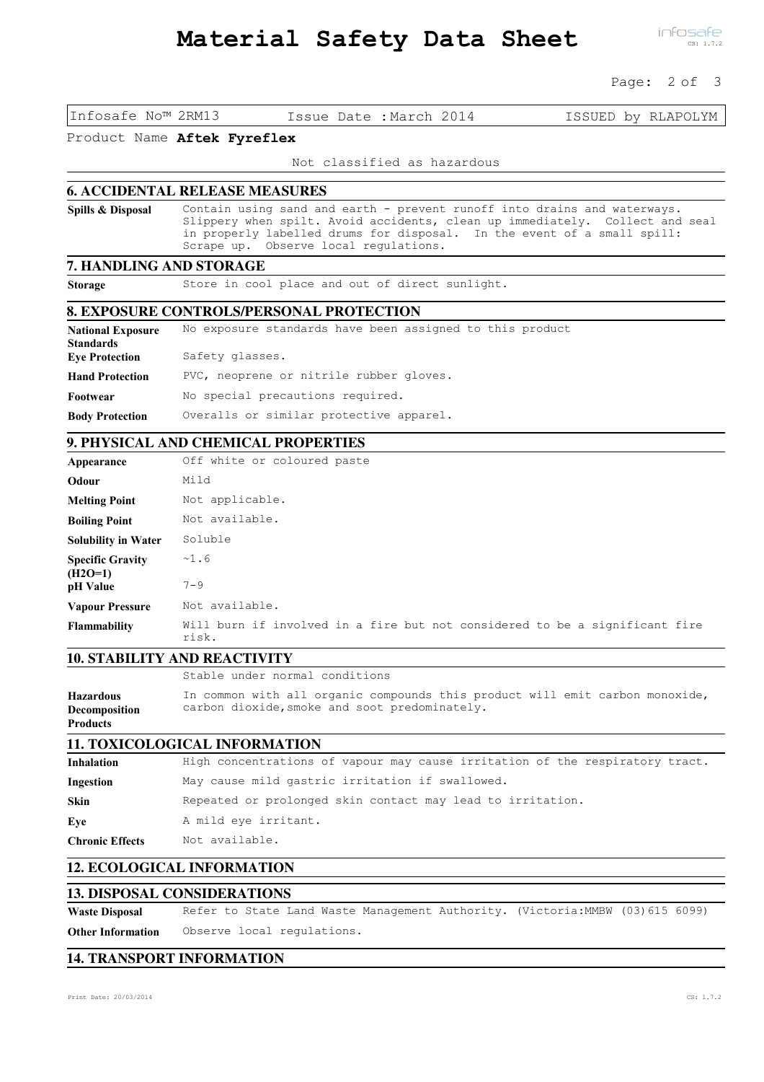#### Page: 2 of 3

Infosafe No™ 2RM13 Issue Date :March 2014 ISSUED by RLAPOLYM

#### Product Name Aftek Fyreflex

Not classified as hazardous

#### **6. ACCIDENTAL RELEASE MEASURES**

Spills & Disposal

Contain using sand and earth - prevent runoff into drains and waterways. Slippery when spilt. Avoid accidents, clean up immediately. Collect and seal in properly labelled drums for disposal. In the event of a small spill: Scrape up. Observe local regulations.

### **7. HANDLING AND STORAGE**

Storage Store in cool place and out of direct sunlight.

#### **8. EXPOSURE CONTROLS/PERSONAL PROTECTION**

| <b>National Exposure</b> | No exposure standards have been assigned to this product |
|--------------------------|----------------------------------------------------------|
| <b>Standards</b>         |                                                          |
| <b>Eye Protection</b>    | Safety glasses.                                          |
| <b>Hand Protection</b>   | PVC, neoprene or nitrile rubber gloves.                  |
| Footwear                 | No special precautions required.                         |
| <b>Body Protection</b>   | Overalls or similar protective apparel.                  |

#### **9. PHYSICAL AND CHEMICAL PROPERTIES**

| Appearance                           | Off white or coloured paste                                                          |
|--------------------------------------|--------------------------------------------------------------------------------------|
| Odour                                | Mild                                                                                 |
| <b>Melting Point</b>                 | Not applicable.                                                                      |
| <b>Boiling Point</b>                 | Not available.                                                                       |
| <b>Solubility in Water</b>           | Soluble                                                                              |
| <b>Specific Gravity</b><br>$(H2O=1)$ | ~1.6                                                                                 |
| pH Value                             | $7 - 9$                                                                              |
| <b>Vapour Pressure</b>               | Not available.                                                                       |
| <b>Flammability</b>                  | Will burn if involved in a fire but not considered to be a significant fire<br>risk. |

## **10. STABILITY AND REACTIVITY**

Stable under normal conditions In common with all organic compounds this product will emit carbon monoxide, carbon dioxide, smoke and soot predominately. Hazardous Decomposition Products

## **11. TOXICOLOGICAL INFORMATION**

| High concentrations of vapour may cause irritation of the respiratory tract. |
|------------------------------------------------------------------------------|
| May cause mild gastric irritation if swallowed.                              |
| Repeated or prolonged skin contact may lead to irritation.                   |
| A mild eye irritant.                                                         |
| Not available.                                                               |
|                                                                              |

## **12. ECOLOGICAL INFORMATION**

### **13. DISPOSAL CONSIDERATIONS**

Waste Disposal Refer to State Land Waste Management Authority. (Victoria:MMBW (03)615 6099) Other Information Observe local regulations.

## **14. TRANSPORT INFORMATION**